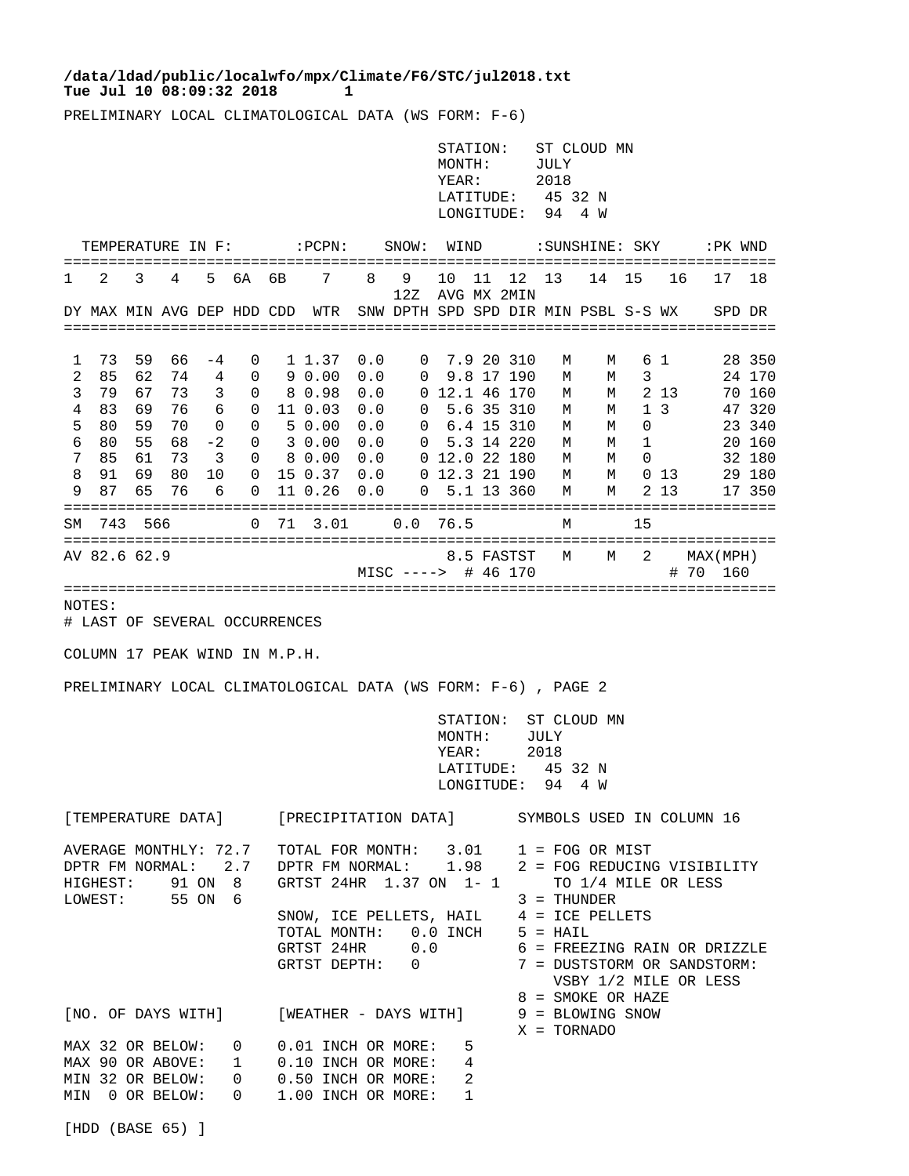## Tue Jul 10 08:09:32 2018 1 **/data/ldad/public/localwfo/mpx/Climate/F6/STC/jul2018.txt**

PRELIMINARY LOCAL CLIMATOLOGICAL DATA (WS FORM: F-6)

|                                                                                                                                                                   |                                                                           |                                                           |                                                    |                                                                                                                |                                                |                                                                     |                                                                                                                                                                   |                                                             |                                                 | STATION:<br>MONTH:<br>YEAR:<br>LATITUDE:<br>LONGITUDE:    |                                     |                                                                                                                                                                                                                                                                                                      | ST CLOUD MN<br>JULY<br>2018<br>45 32 N<br>94<br>4 W |                                                |                                             |                                    |                   |         |                                                                                        |
|-------------------------------------------------------------------------------------------------------------------------------------------------------------------|---------------------------------------------------------------------------|-----------------------------------------------------------|----------------------------------------------------|----------------------------------------------------------------------------------------------------------------|------------------------------------------------|---------------------------------------------------------------------|-------------------------------------------------------------------------------------------------------------------------------------------------------------------|-------------------------------------------------------------|-------------------------------------------------|-----------------------------------------------------------|-------------------------------------|------------------------------------------------------------------------------------------------------------------------------------------------------------------------------------------------------------------------------------------------------------------------------------------------------|-----------------------------------------------------|------------------------------------------------|---------------------------------------------|------------------------------------|-------------------|---------|----------------------------------------------------------------------------------------|
|                                                                                                                                                                   |                                                                           |                                                           |                                                    | TEMPERATURE IN F:                                                                                              |                                                |                                                                     | $:$ PCPN:                                                                                                                                                         |                                                             | SNOW:                                           | WIND                                                      |                                     |                                                                                                                                                                                                                                                                                                      |                                                     | : SUNSHINE: SKY                                |                                             |                                    |                   | :PK WND |                                                                                        |
| 1                                                                                                                                                                 | 2                                                                         | 3                                                         | 4                                                  | 5.                                                                                                             | 6A                                             | 6В                                                                  | 7                                                                                                                                                                 | 8                                                           | 9<br>12Z                                        | 10<br>AVG MX 2MIN                                         | 11                                  | 12                                                                                                                                                                                                                                                                                                   | 13                                                  | 14                                             | 15                                          | 16                                 |                   | 17      | 18                                                                                     |
|                                                                                                                                                                   |                                                                           |                                                           |                                                    | DY MAX MIN AVG DEP HDD CDD                                                                                     |                                                |                                                                     | WTR                                                                                                                                                               |                                                             | SNW DPTH SPD SPD DIR MIN PSBL S-S WX            |                                                           |                                     |                                                                                                                                                                                                                                                                                                      |                                                     |                                                |                                             |                                    |                   | SPD DR  |                                                                                        |
| 1<br>2<br>3<br>4<br>5<br>6<br>7<br>8<br>9<br>SΜ<br>NOTES:                                                                                                         | 73<br>85<br>79<br>83<br>80<br>80<br>85<br>91<br>87<br>743<br>AV 82.6 62.9 | 59<br>62<br>67<br>69<br>59<br>55<br>61<br>69<br>65<br>566 | 66<br>74<br>73<br>76<br>70<br>68<br>73<br>80<br>76 | -4<br>4<br>3<br>6<br>0<br>-2<br>3<br>10<br>6<br># LAST OF SEVERAL OCCURRENCES<br>COLUMN 17 PEAK WIND IN M.P.H. | 0<br>0<br>0<br>0<br>0<br>0<br>0<br>0<br>0<br>0 | 71                                                                  | 1 1.37<br>90.00<br>8 0.98<br>11 0.03<br>50.00<br>3 0.00<br>8 0.00<br>15 0.37<br>11 0.26<br>3.01<br>PRELIMINARY LOCAL CLIMATOLOGICAL DATA (WS FORM: F-6), PAGE 2   | 0.0<br>0.0<br>0.0<br>0.0<br>0.0<br>0.0<br>0.0<br>0.0<br>0.0 | 0<br>0<br>0<br>0<br>0<br>0<br>0.0<br>MISC ----> | 0 12.1 46 170<br>$0$ 12.0 22 180<br>0 12.3 21 190<br>76.5 | 6.4 15 310                          | 7.9 20 310<br>9.8 17 190<br>5.6 35 310<br>5.3 14 220<br>5.1 13 360<br>8.5 FASTST<br># 46 170                                                                                                                                                                                                         | М<br>М<br>М<br>М<br>М<br>М<br>М<br>М<br>М<br>М<br>М | М<br>М<br>М<br>M<br>М<br>М<br>M<br>М<br>M<br>M | 3<br>$\mathbf{1}$<br>0<br>1<br>0<br>15<br>2 | 61<br>2 13<br>3<br>$0\;13$<br>2 13 | MAX (MPH)<br># 70 | 160     | 28 350<br>24 170<br>70 160<br>47 320<br>23 340<br>20 160<br>32 180<br>29 180<br>17 350 |
|                                                                                                                                                                   |                                                                           |                                                           |                                                    |                                                                                                                |                                                |                                                                     |                                                                                                                                                                   |                                                             |                                                 | MONTH:<br>YEAR:                                           | STATION:<br>LATITUDE:<br>LONGITUDE: |                                                                                                                                                                                                                                                                                                      | JULY<br>2018<br>94                                  | ST CLOUD MN<br>45 32 N<br>4 W                  |                                             |                                    |                   |         |                                                                                        |
| [TEMPERATURE DATA] [PRECIPITATION DATA] SYMBOLS USED IN COLUMN 16                                                                                                 |                                                                           |                                                           |                                                    |                                                                                                                |                                                |                                                                     |                                                                                                                                                                   |                                                             |                                                 |                                                           |                                     |                                                                                                                                                                                                                                                                                                      |                                                     |                                                |                                             |                                    |                   |         |                                                                                        |
| AVERAGE MONTHLY: 72.7 TOTAL FOR MONTH: $3.01$ 1 = FOG OR MIST<br>HIGHEST: 91 ON 8<br>LOWEST: 55 ON 6<br>[NO. OF DAYS WITH] [WEATHER - DAYS WITH] 9 = BLOWING SNOW |                                                                           |                                                           |                                                    |                                                                                                                |                                                | GRTST 24HR 1.37 ON 1-1<br>SNOW, ICE PELLETS, HAIL $4 =$ ICE PELLETS |                                                                                                                                                                   |                                                             |                                                 |                                                           |                                     | DPTR FM NORMAL: 2.7 DPTR FM NORMAL: 1.98 2 = FOG REDUCING VISIBILITY<br>TO 1/4 MILE OR LESS<br>3 = THUNDER<br>TOTAL MONTH: $0.0$ INCH $5 = HAIL$<br>GRTST 24HR $0.0$ $6 = FREEZING RAIN OR DRIZZLE$<br>GRTST DEPTH: $0$ $7 = DUSTSTORM OR SAMDSTORM$ :<br>VSBY 1/2 MILE OR LESS<br>8 = SMOKE OR HAZE |                                                     |                                                |                                             |                                    |                   |         |                                                                                        |
|                                                                                                                                                                   |                                                                           |                                                           |                                                    |                                                                                                                |                                                |                                                                     | MAX 32 OR BELOW: 0 0.01 INCH OR MORE: 5<br>MAX 90 OR ABOVE: 1 0.10 INCH OR MORE:<br>MIN 32 OR BELOW: 0 0.50 INCH OR MORE:<br>MIN 0 OR BELOW: 0 1.00 INCH OR MORE: |                                                             |                                                 | 2<br>$\mathbf 1$                                          | 4                                   |                                                                                                                                                                                                                                                                                                      | X = TORNADO                                         |                                                |                                             |                                    |                   |         |                                                                                        |

[HDD (BASE 65) ]